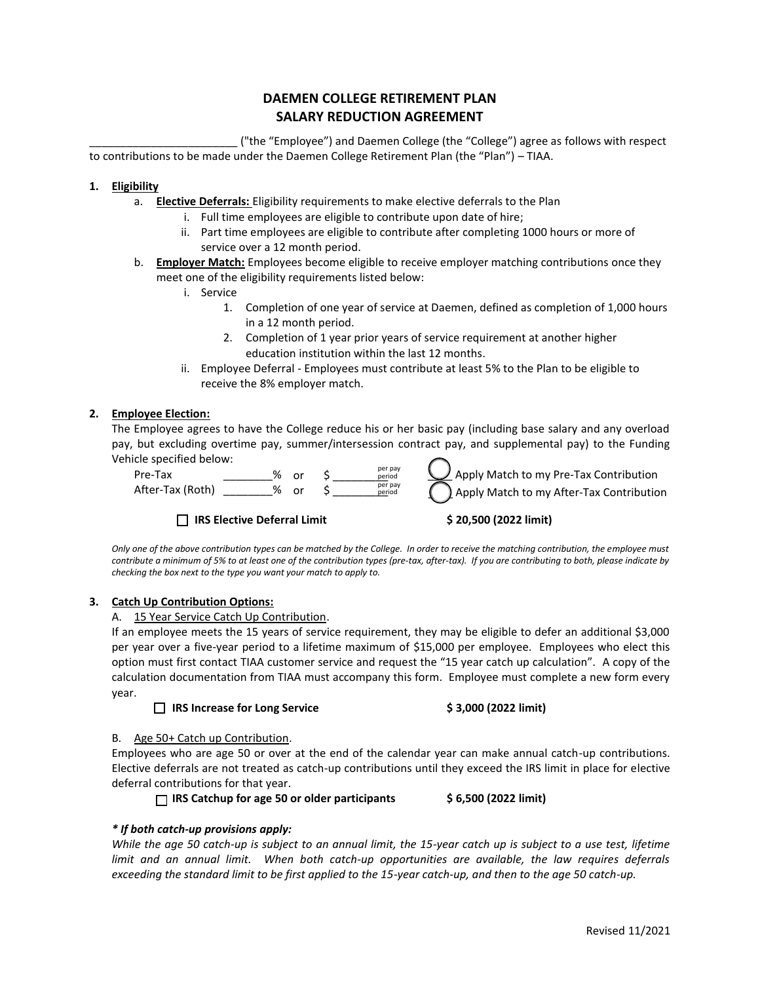# **DAEMEN COLLEGE RETIREMENT PLAN SALARY REDUCTION AGREEMENT**

\_\_\_\_\_\_\_\_\_\_\_\_\_\_\_\_\_\_\_\_\_\_\_\_ ("the "Employee") and Daemen College (the "College") agree as follows with respect to contributions to be made under the Daemen College Retirement Plan (the "Plan") – TIAA.

## **1. Eligibility**

- a. **Elective Deferrals:** Eligibility requirements to make elective deferrals to the Plan
	- i. Full time employees are eligible to contribute upon date of hire;
		- ii. Part time employees are eligible to contribute after completing 1000 hours or more of service over a 12 month period.
- b. **Employer Match:** Employees become eligible to receive employer matching contributions once they meet one of the eligibility requirements listed below:
	- i. Service
		- 1. Completion of one year of service at Daemen, defined as completion of 1,000 hours in a 12 month period.
		- 2. Completion of 1 year prior years of service requirement at another higher education institution within the last 12 months.
	- ii. Employee Deferral Employees must contribute at least 5% to the Plan to be eligible to receive the 8% employer match.

## **2. Employee Election:**

The Employee agrees to have the College reduce his or her basic pay (including base salary and any overload pay, but excluding overtime pay, summer/intersession contract pay, and supplemental pay) to the Funding Vehicle specified below:  $\frac{1}{2}$  Apply Match to my Pre-Tax Contribution

| Pre-Tax          | % | nr. | per pay<br>period |
|------------------|---|-----|-------------------|
| After-Tax (Roth) | % | or  | per pay<br>period |

**□ IRS Elective Deferral Limit \$ 20,500 (2022 limit)**

) Apply Match to my After-Tax Contribution

*Only one of the above contribution types can be matched by the College. In order to receive the matching contribution, the employee must contribute a minimum of 5% to at least one of the contribution types (pre-tax, after-tax). If you are contributing to both, please indicate by checking the box next to the type you want your match to apply to.*

#### **3. Catch Up Contribution Options:**

#### A. 15 Year Service Catch Up Contribution.

If an employee meets the 15 years of service requirement, they may be eligible to defer an additional \$3,000 per year over a five-year period to a lifetime maximum of \$15,000 per employee. Employees who elect this option must first contact TIAA customer service and request the "15 year catch up calculation". A copy of the calculation documentation from TIAA must accompany this form. Employee must complete a new form every year.

# **□ IRS Increase for Long Service \$ 3,000 (2022 limit)**

#### B. Age 50+ Catch up Contribution.

Employees who are age 50 or over at the end of the calendar year can make annual catch-up contributions. Elective deferrals are not treated as catch-up contributions until they exceed the IRS limit in place for elective deferral contributions for that year.

**□ IRS Catchup for age 50 or older participants \$ 6,500 (2022 limit)**

# *\* If both catch-up provisions apply:*

*While the age 50 catch-up is subject to an annual limit, the 15-year catch up is subject to a use test, lifetime limit and an annual limit. When both catch-up opportunities are available, the law requires deferrals exceeding the standard limit to be first applied to the 15-year catch-up, and then to the age 50 catch-up.*